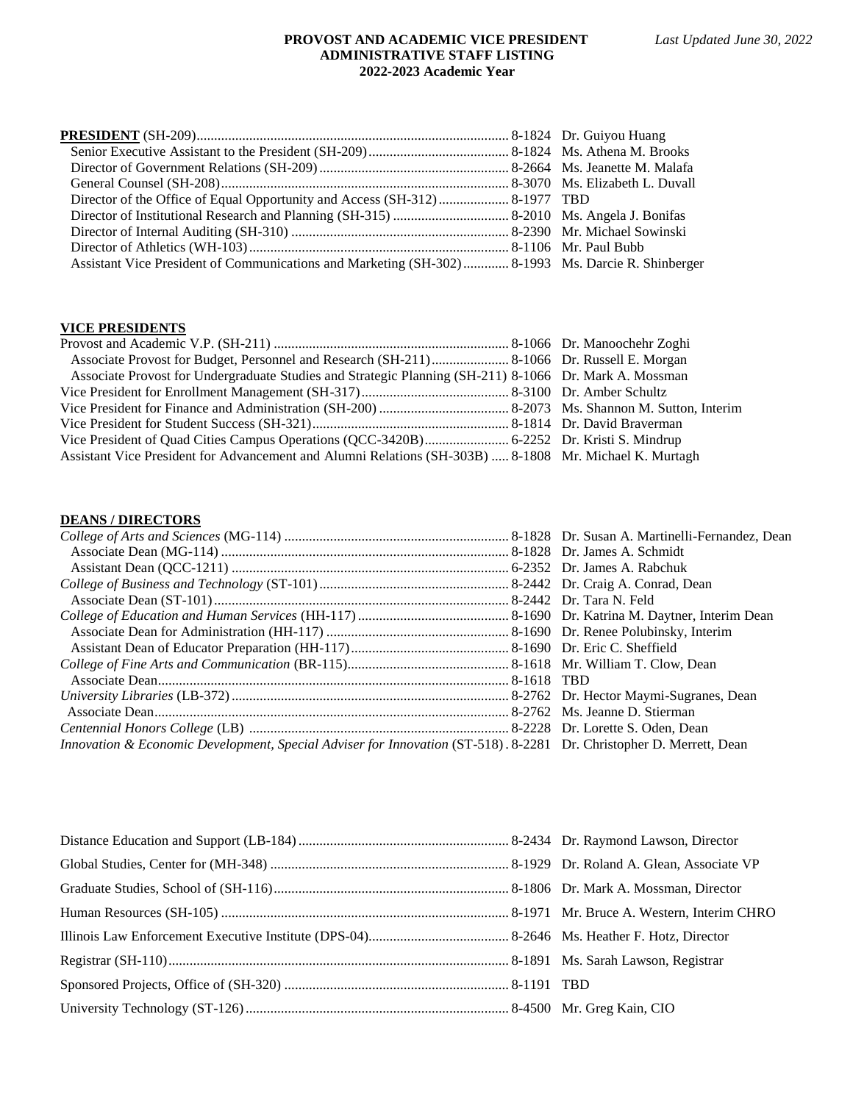## **PROVOST AND ACADEMIC VICE PRESIDENT** *Last Updated June 30, 2022* **ADMINISTRATIVE STAFF LISTING 2022-2023 Academic Year**

| Assistant Vice President of Communications and Marketing (SH-302) 8-1993 Ms. Darcie R. Shinberger |  |
|---------------------------------------------------------------------------------------------------|--|

# **VICE PRESIDENTS**

| Associate Provost for Undergraduate Studies and Strategic Planning (SH-211) 8-1066 Dr. Mark A. Mossman |  |
|--------------------------------------------------------------------------------------------------------|--|
|                                                                                                        |  |
|                                                                                                        |  |
|                                                                                                        |  |
|                                                                                                        |  |
| Assistant Vice President for Advancement and Alumni Relations (SH-303B)  8-1808 Mr. Michael K. Murtagh |  |

# **DEANS / DIRECTORS**

| Innovation & Economic Development, Special Adviser for Innovation (ST-518). 8-2281 Dr. Christopher D. Merrett, Dean |
|---------------------------------------------------------------------------------------------------------------------|
|                                                                                                                     |